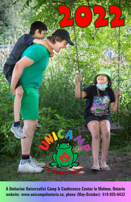

**A Unitarian Universalist Camp & Conference Center in Mulmur, Ontario website: www.unicampofontario.ca, phone (May-October): 519-925-6432**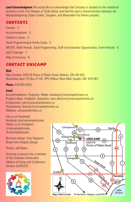**Land Acknowledgment** *We would like to acknowledge that Unicamp is situated on the traditional territories of the First Peoples of Turtle Island, and that this land is shared territory between the Neyaashiinigmiing (Cape Croker), Saugeen, and Beausoleil First Nation peoples.*

# **CONTENTS**

Contact - 2 Accommodations - 3 Children's Camp - 4 Youth Programming & Family Camp - 5 MIT/KIT, Work Periods, Adult Programming, Staff and Volunteer Opportunities, Event Rentals - 6 2022 Calendar - 7 Map of Unicamp - 8

# CONTACT UNICAMP

#### **Mail:**

May-October: 638159 Prince of Wales Road, Mulmur, ON L9V 0C5 November-April: PO Box 31142, RPO Willow West Mall, Guelph, ON N1H 8K1

**Phone:** 519-925-6432

### **Email:**

Accommodations, Programs, Meals: bookings@unicampofontario.ca Program ideas, Feedback, Questions: exec.director@unicampofontario.ca Employment: jobs@unicampofontario.ca Volunteering: director@unicampofontario.ca Website: unicampofontario.ca

Like us on Facebook: facebook.com/unicampofontario Follow us on Instagram: @unicampofontario, #unicampofontario

Brochure design: Tony Rapoport, Brave Form Graphic Design

Photos: Jeff Baker

Unicamp is proud to be a member of the Unitarian Universalist Alliance of Camp and Conference Centers (UUACCC).



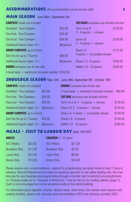### ACCOMMODATIONS All accommodation prices are per night 3

### **MAIN SEASON** June 30th - September 5th

| <b>CAMPSITE</b> meals not included                   | <b>COTTAGES</b> exclusive use includes kitchen |                                |          |
|------------------------------------------------------|------------------------------------------------|--------------------------------|----------|
| <b>Standard - Two Campers</b>                        | \$32.00                                        | Tom's A or B                   | \$150.00 |
| Fire-Free - Two Campers                              | \$30.00                                        | $2 - 4$ spaces $+$ shower      |          |
| Electrical - Two Campers                             | \$38.00                                        | Dave's B                       | \$150.00 |
| Additional Guests Ages 12+                           | \$6/person                                     | $2 - 4$ spaces $+$ shower      |          |
| <b>GROUP CAMPSITE</b> up to 9 tents                  |                                                | Dave's A                       | \$175.00 |
| Site Fee for up to 7 Guests                          | \$99.00                                        | 4 adults $+$ accessible shower |          |
| Additional Guests Ages $12+$                         | \$6/person                                     | Rosie's: 6 - 8 spaces          | \$180.00 |
| <b>DORMS</b> exclusive use of one side               |                                                | Nellie's: 8 - 10 spaces        | \$200.00 |
| 3 bunk beds $+$ washroom (includes double) $$100.00$ |                                                |                                |          |

### **SHOULDER SEASON** May 13th - June 29th, September 6th - October 10th

| <b>CAMPSITE</b> meals not included       |         | <b>DORMS</b> Exclusive Use of one side        |          |
|------------------------------------------|---------|-----------------------------------------------|----------|
|                                          |         |                                               |          |
| <b>Standard - Two Campers</b>            | \$25.60 | 3 bunk beds $+$ washroom (includes double)    | \$80.00  |
| Fire-Free - Two Campers                  | \$24.00 | <b>COTTAGE</b> exclusive use includes kitchen |          |
| <b>Electrical - Two Campers</b>          | \$30.40 | Tom's A or B: $2 - 4$ spaces $+$ shower       | \$120.00 |
| Additional Guests Ages $12 + $6$ /person |         | Dave's B: $2 - 4$ spaces $+$ shower           | \$120.00 |
| <b>GROUP CAMPSITE</b> up to 9 tents      |         | Dave's A: 4 adults $+$ accessible shower      | \$140.00 |
| Site Fee for up to 7 Guests              | \$79.20 | Rosie's: 6 - 8 spaces                         | \$144.00 |
| Additional Guests Ages $12 + $6$ /person |         | Nellie's: 8 - 10 spaces                       | \$160.00 |

## **MEALS - JULY TO LABOUR DAY (plus 13% HST)**

| <b>ADULTS</b>         |         | <b>CHILDREN</b> 5 - 15 years |         |  |
|-----------------------|---------|------------------------------|---------|--|
| All 3 Meals           | \$33.00 | All 3 Meals                  | \$21.00 |  |
| <b>Breakfast Only</b> | \$11.00 | <b>Breakfast Only</b>        | \$7.00  |  |
| <b>Lunch Only</b>     | \$13.00 | Lunch Only                   | \$8.00  |  |
| <b>Dinner Only</b>    | \$15.00 | <b>Dinner Only</b>           | \$10.00 |  |

Please reserve your accommodations, register for programming, and order meals at least 7 days in advance. Visa and Mastercard are easily accepted as payment on our online booking site. You may also pay for your bookings and programming through e-transfer sent to admin@unicampofontario. ca. Cheques made out to "Unicamp of Ontario Inc." may be sent to our mailing address (page 1). Cash is not encouraged but can be accepted onsite at the Admin building.

For information about deposits, refunds, dietary needs, meal times, last-minute meal requests and cooking facilities, please visit unicamp.ca/accommodations-2022 and unicamp.ca/meals-2022.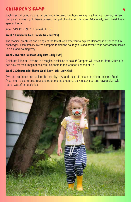# CHILDREN'S CAMP

Each week at camp includes all our favourite camp traditions like capture the flag, survival, tie dye, campfires, movie night, theme dinners, hug patrol and so much more! Additionally, each week has a special theme.

Age: 7-13. Cost: \$575.00/week + HST

### **Week 1 Enchanted Forest (July 3rd - July 9th)**

The magical creatures and beings of the forest welcome you to explore Unicamp in a series of fun challenges. Each activity invites campers to find the courageous and adventurous part of themselves in a fun and exciting way.

### **Week 2 Over the Rainbow (July 10th - July 16th)**

Celebrate Pride at Unicamp in a magical explosion of colour! Campers will travel far from Kansas to see how far their imaginations can take them in the wonderful world of Oz.

### **Week 3 Splashtacular Water Week (July 17th - July 23rd)**

Dive into some fun and explore the lost city of Atlantis just off the shores of the Unicamp Pond. Meet mermaids, turtles, frogs and other marine creatures as you stay cool and have a blast with lots of waterfront activities.

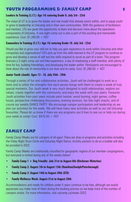# Youth Programming & Family Camp 5

### **Leaders In Training (L.I.T.): Age 14/ entering Grade 9. July 3rd - 23rd**

The vision of LIT is to grow the leader and role model that already exists within, and to equip youth to grow in leadership at Unicamp and in their own communities. With the guidance of facilitators and mentors, LITs are given the opportunity to learn and discover more about the operations components of Unicamp. A one night camp-out is also a part of this exciting and memorable experience. Cost:  $$1,280.00 + HST$ 

### **Counselors In Training (C.I.T.): Age 15/ entering Grade 10. July 3rd - 23rd**

Would you like to grow your skill set to help you gain experience to work within Unicamp and other companies and organizations? CITs pick up from the skills learned in the LIT program to continue to grow and develop a sense of self and the skills required to excel as part of a team. This program features a 2-night camp-out and hike experience, a day of shadowing a staff member, with plenty of time for fun, building friendships, and developing the leader within. Participants are encouraged to think about the role of mentorship in our lives and at camp. Cost:  $$1,280.00 + HST$ 

### **Junior Youth (Jouth): Ages 13 - 16. July 24th - 29th**

Through a series of fun and collaborative activities, Jouth will be challenged to work as a team and to utilize the strengths that each person brings with them to create a week of truly special moments. Our Jouth week is very much designed to build relationships, explore our values, create together with the community, and enjoy the week with your peers. Favourite Jouth activities from past years include paint twister, wood burning, night games, coffee house, perspective challenging discussions, evening services, fun late night snacks, and of course our weekly DANCE PARTY. We encourage camper participation and leadership as we plan our activities for the week. We will have many new activities as well as our old Unicamp favourites. Please let us know if there are any programs you'd love to see run or help run during your week at camp! Cost: \$475.00 + HST

## Family Camp

Family Camp Weeks are for campers of all ages! There are drop-in programs and activities including the Friday Night Drum Circle and Saturday Night Dance. Activity packets to do as a bubble will also be provided in 2022.

Family Camp Weeks are traditionally classified for geographic regions of our member congregations, but everyone is invited during any of the weeks below!

- **• Family Camp 1 + Dog Friendly: July 31st to August 6th (Kitchener-Waterloo)**
- **• Family Camp 2: August 7th to August 13th (Hamilton/Guelph/Peterborough)**
- **• Family Camp 3: August 14th to August 20th (GTA)**
- **• Family Wellness Week: August 21st to August 28th**

Accommodations and meals for children under 5 years continue to be free, although we would appreciate you make note of them during the booking process as we keep track of the number of campers onsite. For more information, visit unicamp.ca/meals-2022.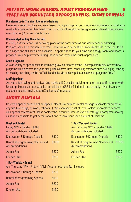# MIT/KIT, Work Periods, Adult Programming, 6 Staff and Volunteer Opportunities, Event Rentals

#### **Maintenance-in-Training**, **Kitchen-in-Training**

Learn from skilled workers and volunteers. Participants get accommodations and meals, as well as a weekly honorarium for their hard work. For more information or to signal your interest, please email exec.director@unicampofontario.ca.

#### **Community-Building Work Periods**

In 2022, a Work Period will be taking place at the same time as our Maintenance-in-Training Program, May 13th through June 2nd. There will also be multiple Work Weekends in the Fall. Tasks for all ages and skill levels are available. In appreciation for your time and energy, room and board is provided. Your help any time during these periods would be much appreciated!

#### **Adult Programs**

A wide variety of opportunities to learn and grow, co-created by the Unicamp community. Several new programs will be offered this year, along with old favourites, continuing traditions such as singing, dancing, art-making and hiking the Bruce Trail. For details, visit unicampofontario.ca/adult-programs-2022/.

#### **Staff Openings**

Are you a fun-loving and hardworking individual? Consider applying for a job as a staff member with Unicamp. Please visit our website and click on JOBS for full details and to apply! If you have any questions please email director@unicampofontario.ca.

## Event Rentals

Host your special occasion at our special place! Unicamp has rental packages available for events of any size (weddings, reunions, retreats...). We even have a list of Lay Chaplains available to perform your special ceremonies! Please contact the Executive Director (exec.director@unicampofontario.ca) as soon as possible to get details about and reserve your special event at Unicamp!

| <b>Weekend Rental</b><br><b>1 Day Weekend Rental</b><br>(ex. Saturday 4PM - Sunday 11AM)<br>Friday 4PM - Sunday 11AM<br><b>Accommodations Included</b><br><b>Accommodations Included</b> |        |                                                    |        |
|------------------------------------------------------------------------------------------------------------------------------------------------------------------------------------------|--------|----------------------------------------------------|--------|
| <b>Reservation &amp; Damage Deposit</b>                                                                                                                                                  | \$400  | <b>Reservation &amp; Damage Deposit</b>            | \$400  |
| Rental of programming Spaces and<br><b>Accommodations</b>                                                                                                                                | \$3000 | Rental of programming Spaces and<br>Accommodations | \$1000 |
| Admin Fee                                                                                                                                                                                | \$200  | Admin Fee                                          | \$200  |
| <b>Kitchen Use</b>                                                                                                                                                                       | \$250  | Kitchen Use                                        | \$150  |

#### **1 Day Weekday Rental**

(ex. Thursday 4PM - Friday 11AM) Accommodations Not Included

| <b>Reservation &amp; Damage Deposit</b> | \$200 |
|-----------------------------------------|-------|
| <b>Rental of programming Spaces</b>     | \$500 |
| Admin Fee                               | \$200 |
| Kitchen Use                             | \$150 |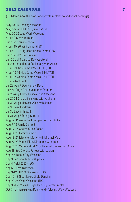# 2022 CALENDAR 7

(• Children's/Youth Camps and private rentals: no additional bookings)

May 13-15 Opening Weekend May 16-Jun 9 MIT/KIT/Work Month May 20-22 Loud Work Weekend • Jun 3-5 private rental Jun 10-12 private rental • Jun 15-20 Wild Ginger (TBC) • Jun 21-27 Big Heart Dance Camp (TBC) Jun 26-Jul 2 Staff Training Jun 30-Jul 3 Canada Day Weekend Jul 2 Introduction to Sociocracy with Aukje • Jul 3-9 Kids Camp Week 1 & LIT/CIT • Jul 10-16 Kids Camp Week 2 & LIT/CIT • Jul 17-23 Kids Camp Week 3 & LIT/CIT • Jul 24-29 Jouth Jul 29-Aug 7 Dog Friendly Days July 29-Aug 5 Youth Volunteer Program Jul 29-Aug 1 Civic Holiday Long Weekend Jul 29-31 Chakra Balancing with Archana Jul 30-Aug 1 Harvest Walk with Janice Jul 30 Fairy Fundraiser Jul 30 Labyrinth Walk Jul 31-Aug 6 Family Camp 1 Aug 5-7 Power of Self Compassion with Aukje Aug 7-13 Family Camp 2 Aug 12-14 Sacred Circle Dance Aug 14-20 Family Camp 3 Aug 19-21 Magic of Music with Michael Moon Aug 22-23 Vegan Films/Discourse with Irene Aug 26-28 Write and Tell Your Personal Stories with Anne Aug 28-Sep 2 Artist Retreat with Lauren Sep 2-5 Labour Day Weekend Sep 3 Seasonal Mentorship Day Sep 4 AGM 2022 (TBC) Sep 5 8-9pm Fairy Walk Sep 9-12 CUC YA Weekend (TBC) Sep 16-18 Great Lakes Circle Dancing Sep 23-25 Work Weekend (TBC) Sep 30-Oct 2 Wild Ginger Planning Retreat rental Oct 7-10 Thanksgiving/Dog Friendly/Closing Work Weekend